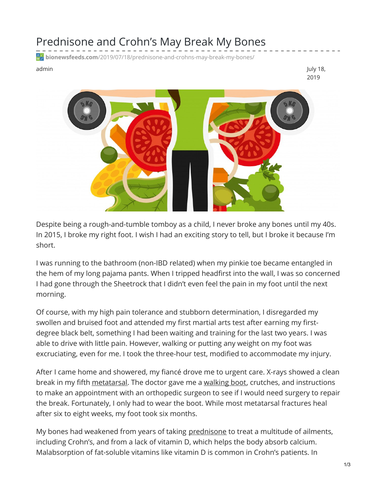## Prednisone and Crohn's May Break My Bones

**bionewsfeeds.com**[/2019/07/18/prednisone-and-crohns-may-break-my-bones/](https://bionewsfeeds.com/2019/07/18/prednisone-and-crohns-may-break-my-bones/)

admin July 18, 2019



Despite being a rough-and-tumble tomboy as a child, I never broke any bones until my 40s. In 2015, I broke my right foot. I wish I had an exciting story to tell, but I broke it because I'm short.

I was running to the bathroom (non-IBD related) when my pinkie toe became entangled in the hem of my long pajama pants. When I tripped headfirst into the wall, I was so concerned I had gone through the Sheetrock that I didn't even feel the pain in my foot until the next morning.

Of course, with my high pain tolerance and stubborn determination, I disregarded my swollen and bruised foot and attended my first martial arts test after earning my firstdegree black belt, something I had been waiting and training for the last two years. I was able to drive with little pain. However, walking or putting any weight on my foot was excruciating, even for me. I took the three-hour test, modified to accommodate my injury.

After I came home and showered, my fiancé drove me to urgent care. X-rays showed a clean break in my fifth [metatarsal.](https://medlineplus.gov/ency/patientinstructions/000571.htm) The doctor gave me a [walking](https://www.drugs.com/cg/walking-boot.html) boot, crutches, and instructions to make an appointment with an orthopedic surgeon to see if I would need surgery to repair the break. Fortunately, I only had to wear the boot. While most metatarsal fractures heal after six to eight weeks, my foot took six months.

My bones had weakened from years of taking [prednisone](https://www.verywellhealth.com/steroid-induced-osteoporosis-1942981) to treat a multitude of ailments, including Crohn's, and from a lack of vitamin D, which helps the body absorb calcium. Malabsorption of fat-soluble vitamins like vitamin D is common in Crohn's patients. In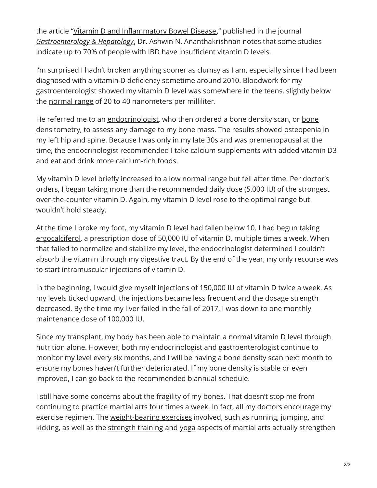the article "Vitamin D and [Inflammatory](https://www.ncbi.nlm.nih.gov/pmc/articles/PMC5114499/) Bowel Disease," published in the journal *[Gastroenterology](https://www.gastroenterologyandhepatology.net/) & Hepatology*, Dr. Ashwin N. Ananthakrishnan notes that some studies indicate up to 70% of people with IBD have insufficient vitamin D levels.

I'm surprised I hadn't broken anything sooner as clumsy as I am, especially since I had been diagnosed with a vitamin D deficiency sometime around 2010. Bloodwork for my gastroenterologist showed my vitamin D level was somewhere in the teens, slightly below the [normal](https://medlineplus.gov/ency/article/003569.htm) range of 20 to 40 nanometers per milliliter.

He referred me to an [endocrinologist,](https://www.hopkinsmedicine.org/health/treatment-tests-and-therapies/bone-densitometry) who then ordered a bone density scan, or bone densitometry, to assess any damage to my bone mass. The results showed [osteopenia](https://www.health.harvard.edu/womens-health/osteopenia-when-you-have-weak-bones-but-not-osteoporosis) in my left hip and spine. Because I was only in my late 30s and was premenopausal at the time, the endocrinologist recommended I take calcium supplements with added vitamin D3 and eat and drink more calcium-rich foods.

My vitamin D level briefly increased to a low normal range but fell after time. Per doctor's orders, I began taking more than the recommended daily dose (5,000 IU) of the strongest over-the-counter vitamin D. Again, my vitamin D level rose to the optimal range but wouldn't hold steady.

At the time I broke my foot, my vitamin D level had fallen below 10. I had begun taking [ergocalciferol](https://www.rxlist.com/calciferol-drug/patient-images-side-effects.htm#nottake), a prescription dose of 50,000 IU of vitamin D, multiple times a week. When that failed to normalize and stabilize my level, the endocrinologist determined I couldn't absorb the vitamin through my digestive tract. By the end of the year, my only recourse was to start intramuscular injections of vitamin D.

In the beginning, I would give myself injections of 150,000 IU of vitamin D twice a week. As my levels ticked upward, the injections became less frequent and the dosage strength decreased. By the time my liver failed in the fall of 2017, I was down to one monthly maintenance dose of 100,000 IU.

Since my transplant, my body has been able to maintain a normal vitamin D level through nutrition alone. However, both my endocrinologist and gastroenterologist continue to monitor my level every six months, and I will be having a bone density scan next month to ensure my bones haven't further deteriorated. If my bone density is stable or even improved, I can go back to the recommended biannual schedule.

I still have some concerns about the fragility of my bones. That doesn't stop me from continuing to practice martial arts four times a week. In fact, all my doctors encourage my exercise regimen. The [weight-bearing](https://www.bones.nih.gov/health-info/bone/bone-health/exercise/exercise-your-bone-health) exercises involved, such as running, jumping, and kicking, as well as the [strength](https://www.health.harvard.edu/staying-healthy/strength-training-builds-more-than-muscles) training and [yoga](https://www.yogajournal.com/lifestyle/bone-up) aspects of martial arts actually strengthen